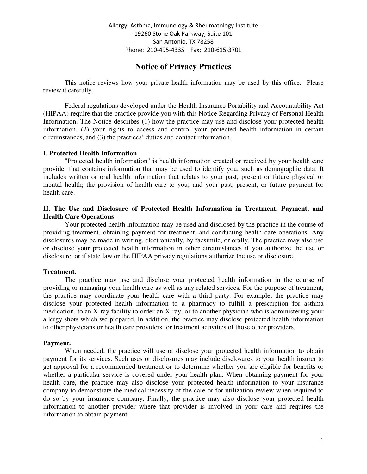# **Notice of Privacy Practices**

This notice reviews how your private health information may be used by this office. Please review it carefully.

Federal regulations developed under the Health Insurance Portability and Accountability Act (HIPAA) require that the practice provide you with this Notice Regarding Privacy of Personal Health Information. The Notice describes (1) how the practice may use and disclose your protected health information, (2) your rights to access and control your protected health information in certain circumstances, and (3) the practices' duties and contact information.

#### **I. Protected Health Information**

"Protected health information" is health information created or received by your health care provider that contains information that may be used to identify you, such as demographic data. It includes written or oral health information that relates to your past, present or future physical or mental health; the provision of health care to you; and your past, present, or future payment for health care.

### **II. The Use and Disclosure of Protected Health Information in Treatment, Payment, and Health Care Operations**

Your protected health information may be used and disclosed by the practice in the course of providing treatment, obtaining payment for treatment, and conducting health care operations. Any disclosures may be made in writing, electronically, by facsimile, or orally. The practice may also use or disclose your protected health information in other circumstances if you authorize the use or disclosure, or if state law or the HIPAA privacy regulations authorize the use or disclosure.

#### **Treatment.**

The practice may use and disclose your protected health information in the course of providing or managing your health care as well as any related services. For the purpose of treatment, the practice may coordinate your health care with a third party. For example, the practice may disclose your protected health information to a pharmacy to fulfill a prescription for asthma medication, to an X-ray facility to order an X-ray, or to another physician who is administering your allergy shots which we prepared. In addition, the practice may disclose protected health information to other physicians or health care providers for treatment activities of those other providers.

#### **Payment.**

When needed, the practice will use or disclose your protected health information to obtain payment for its services. Such uses or disclosures may include disclosures to your health insurer to get approval for a recommended treatment or to determine whether you are eligible for benefits or whether a particular service is covered under your health plan. When obtaining payment for your health care, the practice may also disclose your protected health information to your insurance company to demonstrate the medical necessity of the care or for utilization review when required to do so by your insurance company. Finally, the practice may also disclose your protected health information to another provider where that provider is involved in your care and requires the information to obtain payment.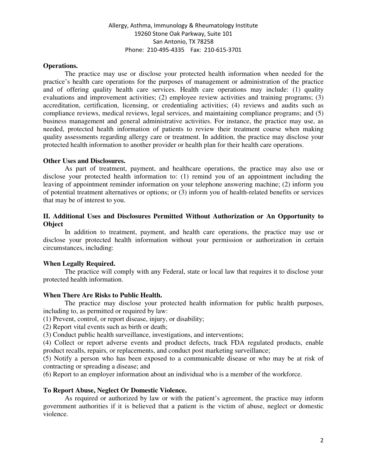### **Operations.**

The practice may use or disclose your protected health information when needed for the practice's health care operations for the purposes of management or administration of the practice and of offering quality health care services. Health care operations may include: (1) quality evaluations and improvement activities; (2) employee review activities and training programs; (3) accreditation, certification, licensing, or credentialing activities; (4) reviews and audits such as compliance reviews, medical reviews, legal services, and maintaining compliance programs; and (5) business management and general administrative activities. For instance, the practice may use, as needed, protected health information of patients to review their treatment course when making quality assessments regarding allergy care or treatment. In addition, the practice may disclose your protected health information to another provider or health plan for their health care operations.

### **Other Uses and Disclosures.**

As part of treatment, payment, and healthcare operations, the practice may also use or disclose your protected health information to: (1) remind you of an appointment including the leaving of appointment reminder information on your telephone answering machine; (2) inform you of potential treatment alternatives or options; or (3) inform you of health-related benefits or services that may be of interest to you.

### **II. Additional Uses and Disclosures Permitted Without Authorization or An Opportunity to Object**

In addition to treatment, payment, and health care operations, the practice may use or disclose your protected health information without your permission or authorization in certain circumstances, including:

## **When Legally Required.**

The practice will comply with any Federal, state or local law that requires it to disclose your protected health information.

#### **When There Are Risks to Public Health.**

The practice may disclose your protected health information for public health purposes, including to, as permitted or required by law:

(1) Prevent, control, or report disease, injury, or disability;

(2) Report vital events such as birth or death;

(3) Conduct public health surveillance, investigations, and interventions;

(4) Collect or report adverse events and product defects, track FDA regulated products, enable product recalls, repairs, or replacements, and conduct post marketing surveillance;

(5) Notify a person who has been exposed to a communicable disease or who may be at risk of contracting or spreading a disease; and

(6) Report to an employer information about an individual who is a member of the workforce.

## **To Report Abuse, Neglect Or Domestic Violence.**

As required or authorized by law or with the patient's agreement, the practice may inform government authorities if it is believed that a patient is the victim of abuse, neglect or domestic violence.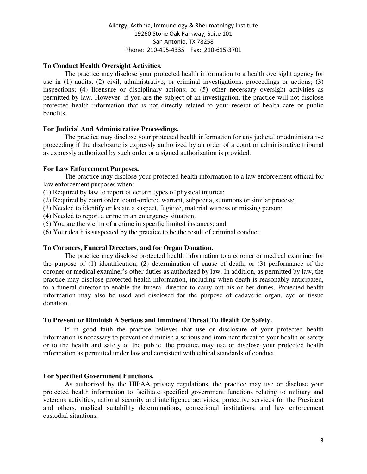## **To Conduct Health Oversight Activities.**

The practice may disclose your protected health information to a health oversight agency for use in (1) audits; (2) civil, administrative, or criminal investigations, proceedings or actions; (3) inspections; (4) licensure or disciplinary actions; or (5) other necessary oversight activities as permitted by law. However, if you are the subject of an investigation, the practice will not disclose protected health information that is not directly related to your receipt of health care or public benefits.

## **For Judicial And Administrative Proceedings.**

The practice may disclose your protected health information for any judicial or administrative proceeding if the disclosure is expressly authorized by an order of a court or administrative tribunal as expressly authorized by such order or a signed authorization is provided.

## **For Law Enforcement Purposes.**

The practice may disclose your protected health information to a law enforcement official for law enforcement purposes when:

(1) Required by law to report of certain types of physical injuries;

(2) Required by court order, court-ordered warrant, subpoena, summons or similar process;

(3) Needed to identify or locate a suspect, fugitive, material witness or missing person;

(4) Needed to report a crime in an emergency situation.

(5) You are the victim of a crime in specific limited instances; and

(6) Your death is suspected by the practice to be the result of criminal conduct.

## **To Coroners, Funeral Directors, and for Organ Donation.**

The practice may disclose protected health information to a coroner or medical examiner for the purpose of (1) identification, (2) determination of cause of death, or (3) performance of the coroner or medical examiner's other duties as authorized by law. In addition, as permitted by law, the practice may disclose protected health information, including when death is reasonably anticipated, to a funeral director to enable the funeral director to carry out his or her duties. Protected health information may also be used and disclosed for the purpose of cadaveric organ, eye or tissue donation.

## **To Prevent or Diminish A Serious and Imminent Threat To Health Or Safety.**

If in good faith the practice believes that use or disclosure of your protected health information is necessary to prevent or diminish a serious and imminent threat to your health or safety or to the health and safety of the public, the practice may use or disclose your protected health information as permitted under law and consistent with ethical standards of conduct.

## **For Specified Government Functions.**

As authorized by the HIPAA privacy regulations, the practice may use or disclose your protected health information to facilitate specified government functions relating to military and veterans activities, national security and intelligence activities, protective services for the President and others, medical suitability determinations, correctional institutions, and law enforcement custodial situations.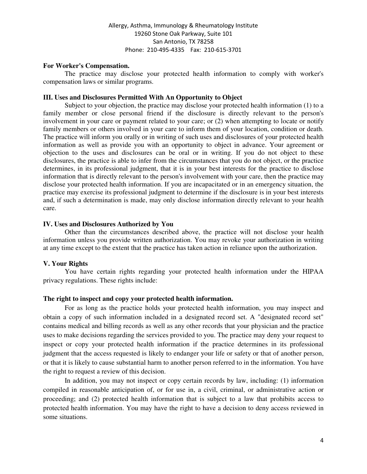#### **For Worker's Compensation.**

The practice may disclose your protected health information to comply with worker's compensation laws or similar programs.

### **III. Uses and Disclosures Permitted With An Opportunity to Object**

Subject to your objection, the practice may disclose your protected health information (1) to a family member or close personal friend if the disclosure is directly relevant to the person's involvement in your care or payment related to your care; or (2) when attempting to locate or notify family members or others involved in your care to inform them of your location, condition or death. The practice will inform you orally or in writing of such uses and disclosures of your protected health information as well as provide you with an opportunity to object in advance. Your agreement or objection to the uses and disclosures can be oral or in writing. If you do not object to these disclosures, the practice is able to infer from the circumstances that you do not object, or the practice determines, in its professional judgment, that it is in your best interests for the practice to disclose information that is directly relevant to the person's involvement with your care, then the practice may disclose your protected health information. If you are incapacitated or in an emergency situation, the practice may exercise its professional judgment to determine if the disclosure is in your best interests and, if such a determination is made, may only disclose information directly relevant to your health care.

#### **IV. Uses and Disclosures Authorized by You**

Other than the circumstances described above, the practice will not disclose your health information unless you provide written authorization. You may revoke your authorization in writing at any time except to the extent that the practice has taken action in reliance upon the authorization.

#### **V. Your Rights**

You have certain rights regarding your protected health information under the HIPAA privacy regulations. These rights include:

#### **The right to inspect and copy your protected health information.**

For as long as the practice holds your protected health information, you may inspect and obtain a copy of such information included in a designated record set. A "designated record set" contains medical and billing records as well as any other records that your physician and the practice uses to make decisions regarding the services provided to you. The practice may deny your request to inspect or copy your protected health information if the practice determines in its professional judgment that the access requested is likely to endanger your life or safety or that of another person, or that it is likely to cause substantial harm to another person referred to in the information. You have the right to request a review of this decision.

In addition, you may not inspect or copy certain records by law, including: (1) information compiled in reasonable anticipation of, or for use in, a civil, criminal, or administrative action or proceeding; and (2) protected health information that is subject to a law that prohibits access to protected health information. You may have the right to have a decision to deny access reviewed in some situations.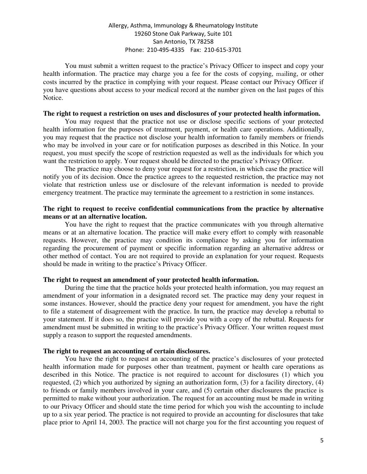## Allergy, Asthma, Immunology & Rheumatology Institute 19260 Stone Oak Parkway, Suite 101 San Antonio, TX 78258 Phone: 210-495-4335 Fax: 210-615-3701

You must submit a written request to the practice's Privacy Officer to inspect and copy your health information. The practice may charge you a fee for the costs of copying, mailing, or other costs incurred by the practice in complying with your request. Please contact our Privacy Officer if you have questions about access to your medical record at the number given on the last pages of this Notice.

#### **The right to request a restriction on uses and disclosures of your protected health information.**

You may request that the practice not use or disclose specific sections of your protected health information for the purposes of treatment, payment, or health care operations. Additionally, you may request that the practice not disclose your health information to family members or friends who may be involved in your care or for notification purposes as described in this Notice. In your request, you must specify the scope of restriction requested as well as the individuals for which you want the restriction to apply. Your request should be directed to the practice's Privacy Officer.

The practice may choose to deny your request for a restriction, in which case the practice will notify you of its decision. Once the practice agrees to the requested restriction, the practice may not violate that restriction unless use or disclosure of the relevant information is needed to provide emergency treatment. The practice may terminate the agreement to a restriction in some instances.

### **The right to request to receive confidential communications from the practice by alternative means or at an alternative location.**

You have the right to request that the practice communicates with you through alternative means or at an alternative location. The practice will make every effort to comply with reasonable requests. However, the practice may condition its compliance by asking you for information regarding the procurement of payment or specific information regarding an alternative address or other method of contact. You are not required to provide an explanation for your request. Requests should be made in writing to the practice's Privacy Officer.

### **The right to request an amendment of your protected health information.**

During the time that the practice holds your protected health information, you may request an amendment of your information in a designated record set. The practice may deny your request in some instances. However, should the practice deny your request for amendment, you have the right to file a statement of disagreement with the practice. In turn, the practice may develop a rebuttal to your statement. If it does so, the practice will provide you with a copy of the rebuttal. Requests for amendment must be submitted in writing to the practice's Privacy Officer. Your written request must supply a reason to support the requested amendments.

#### **The right to request an accounting of certain disclosures.**

You have the right to request an accounting of the practice's disclosures of your protected health information made for purposes other than treatment, payment or health care operations as described in this Notice. The practice is not required to account for disclosures (1) which you requested, (2) which you authorized by signing an authorization form, (3) for a facility directory, (4) to friends or family members involved in your care, and (5) certain other disclosures the practice is permitted to make without your authorization. The request for an accounting must be made in writing to our Privacy Officer and should state the time period for which you wish the accounting to include up to a six year period. The practice is not required to provide an accounting for disclosures that take place prior to April 14, 2003. The practice will not charge you for the first accounting you request of